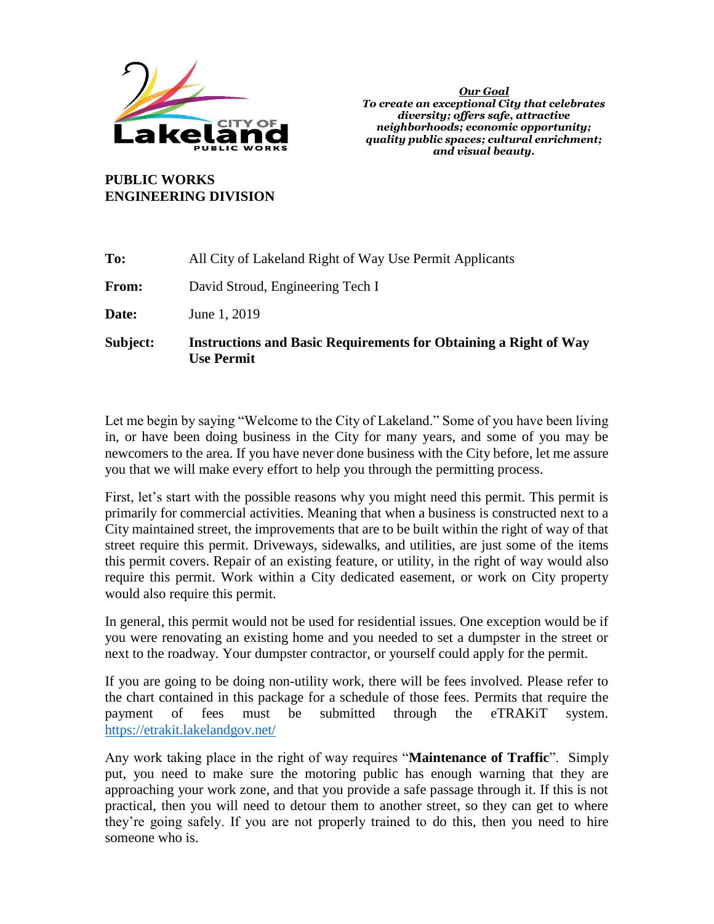

**PUBLIC WORKS ENGINEERING DIVISION**

| Subject: | <b>Instructions and Basic Requirements for Obtaining a Right of Way</b><br><b>Use Permit</b> |  |  |  |
|----------|----------------------------------------------------------------------------------------------|--|--|--|
| Date:    | June 1, 2019                                                                                 |  |  |  |
| From:    | David Stroud, Engineering Tech I                                                             |  |  |  |
| To:      | All City of Lakeland Right of Way Use Permit Applicants                                      |  |  |  |

Let me begin by saying "Welcome to the City of Lakeland." Some of you have been living in, or have been doing business in the City for many years, and some of you may be newcomers to the area. If you have never done business with the City before, let me assure you that we will make every effort to help you through the permitting process.

First, let's start with the possible reasons why you might need this permit. This permit is primarily for commercial activities. Meaning that when a business is constructed next to a City maintained street, the improvements that are to be built within the right of way of that street require this permit. Driveways, sidewalks, and utilities, are just some of the items this permit covers. Repair of an existing feature, or utility, in the right of way would also require this permit. Work within a City dedicated easement, or work on City property would also require this permit.

In general, this permit would not be used for residential issues. One exception would be if you were renovating an existing home and you needed to set a dumpster in the street or next to the roadway. Your dumpster contractor, or yourself could apply for the permit.

If you are going to be doing non-utility work, there will be fees involved. Please refer to the chart contained in this package for a schedule of those fees. Permits that require the payment of fees must be submitted through the eTRAKiT system. <https://etrakit.lakelandgov.net/>

Any work taking place in the right of way requires "**Maintenance of Traffic**". Simply put, you need to make sure the motoring public has enough warning that they are approaching your work zone, and that you provide a safe passage through it. If this is not practical, then you will need to detour them to another street, so they can get to where they're going safely. If you are not properly trained to do this, then you need to hire someone who is.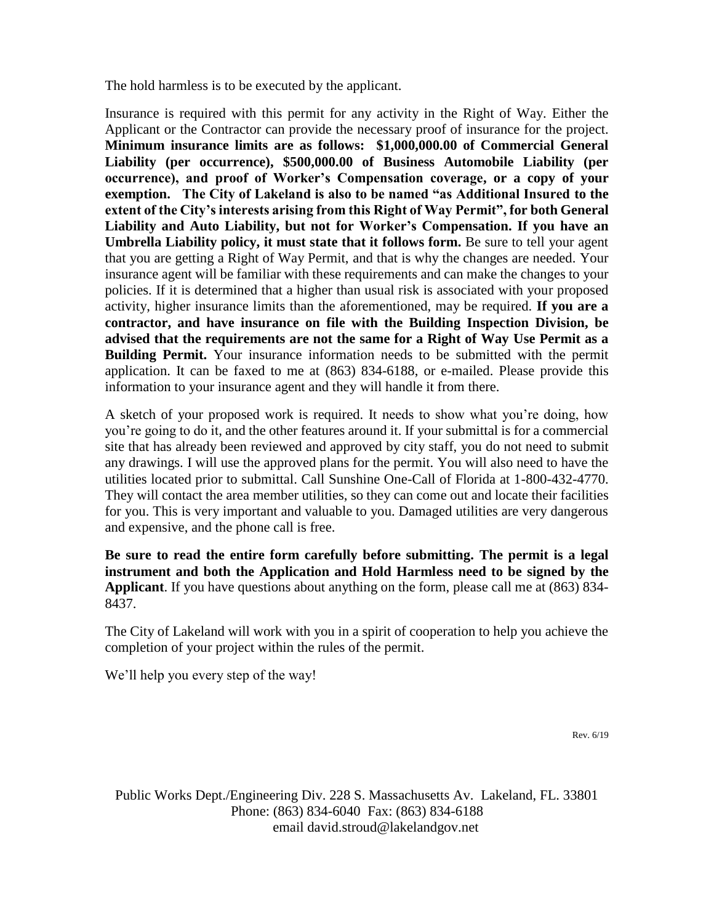The hold harmless is to be executed by the applicant.

Insurance is required with this permit for any activity in the Right of Way. Either the Applicant or the Contractor can provide the necessary proof of insurance for the project. **Minimum insurance limits are as follows: \$1,000,000.00 of Commercial General Liability (per occurrence), \$500,000.00 of Business Automobile Liability (per occurrence), and proof of Worker's Compensation coverage, or a copy of your exemption. The City of Lakeland is also to be named "as Additional Insured to the extent of the City's interests arising from this Right of Way Permit", for both General Liability and Auto Liability, but not for Worker's Compensation. If you have an Umbrella Liability policy, it must state that it follows form.** Be sure to tell your agent that you are getting a Right of Way Permit, and that is why the changes are needed. Your insurance agent will be familiar with these requirements and can make the changes to your policies. If it is determined that a higher than usual risk is associated with your proposed activity, higher insurance limits than the aforementioned, may be required. **If you are a contractor, and have insurance on file with the Building Inspection Division, be advised that the requirements are not the same for a Right of Way Use Permit as a Building Permit.** Your insurance information needs to be submitted with the permit application. It can be faxed to me at (863) 834-6188, or e-mailed. Please provide this information to your insurance agent and they will handle it from there.

A sketch of your proposed work is required. It needs to show what you're doing, how you're going to do it, and the other features around it. If your submittal is for a commercial site that has already been reviewed and approved by city staff, you do not need to submit any drawings. I will use the approved plans for the permit. You will also need to have the utilities located prior to submittal. Call Sunshine One-Call of Florida at 1-800-432-4770. They will contact the area member utilities, so they can come out and locate their facilities for you. This is very important and valuable to you. Damaged utilities are very dangerous and expensive, and the phone call is free.

**Be sure to read the entire form carefully before submitting. The permit is a legal instrument and both the Application and Hold Harmless need to be signed by the Applicant**. If you have questions about anything on the form, please call me at (863) 834- 8437.

The City of Lakeland will work with you in a spirit of cooperation to help you achieve the completion of your project within the rules of the permit.

We'll help you every step of the way!

Rev. 6/19

Public Works Dept./Engineering Div. 228 S. Massachusetts Av. Lakeland, FL. 33801 Phone: (863) 834-6040 Fax: (863) 834-6188 email david.stroud@lakelandgov.net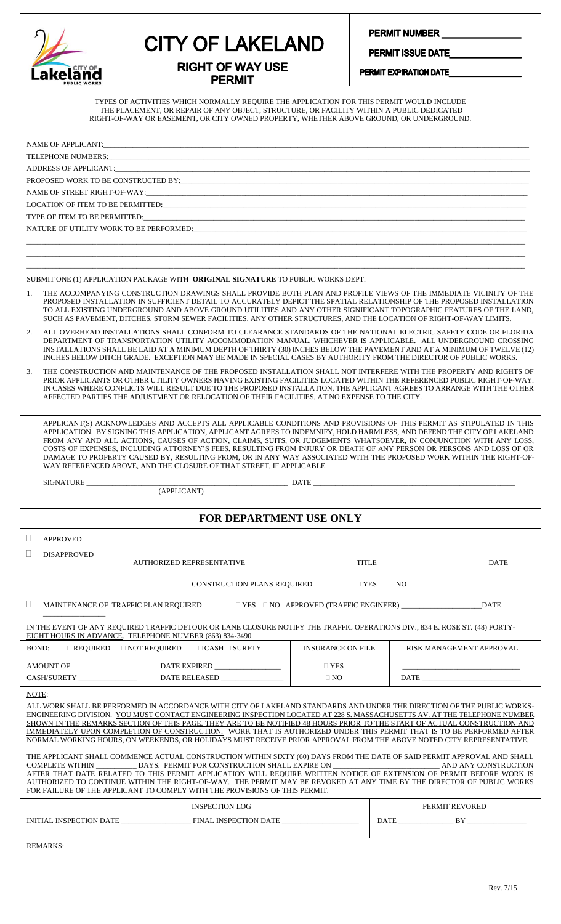| akeland<br>PUBLIC WORKS |
|-------------------------|

**RIGHT OF WAY USE PERMIT** 

PERMIT NUMBER

PERMIT ISSUE DATE PERMIT EXPIRATION DATE

TYPES OF ACTIVITIES WHICH NORMALLY REQUIRE THE APPLICATION FOR THIS PERMIT WOULD INCLUDE THE PLACEMENT, OR REPAIR OF ANY OBJECT, STRUCTURE, OR FACILITY WITHIN A PUBLIC DEDICATED RIGHT-OF-WAY OR EASEMENT, OR CITY OWNED PROPERTY, WHETHER ABOVE GROUND, OR UNDERGROUND.

|                                                                                                                                                                                                                                                                                                                                                                                                                                                                                                                                                                                                                                                                                                                                                                                                                                                                                                                                                                                                                     |                                      | PROPOSED WORK TO BE CONSTRUCTED BY:                                                                                                                                                                                                                                                                                                                                                                                                                                                   |                          |                                                  |                          |  |  |  |
|---------------------------------------------------------------------------------------------------------------------------------------------------------------------------------------------------------------------------------------------------------------------------------------------------------------------------------------------------------------------------------------------------------------------------------------------------------------------------------------------------------------------------------------------------------------------------------------------------------------------------------------------------------------------------------------------------------------------------------------------------------------------------------------------------------------------------------------------------------------------------------------------------------------------------------------------------------------------------------------------------------------------|--------------------------------------|---------------------------------------------------------------------------------------------------------------------------------------------------------------------------------------------------------------------------------------------------------------------------------------------------------------------------------------------------------------------------------------------------------------------------------------------------------------------------------------|--------------------------|--------------------------------------------------|--------------------------|--|--|--|
|                                                                                                                                                                                                                                                                                                                                                                                                                                                                                                                                                                                                                                                                                                                                                                                                                                                                                                                                                                                                                     |                                      |                                                                                                                                                                                                                                                                                                                                                                                                                                                                                       |                          |                                                  |                          |  |  |  |
|                                                                                                                                                                                                                                                                                                                                                                                                                                                                                                                                                                                                                                                                                                                                                                                                                                                                                                                                                                                                                     |                                      | LOCATION OF ITEM TO BE PERMITTED: UNIVERSITY OF A SERVICE OF A SERVICE OF A SERVICE OF A SERVICE OF A SERVICE OF A SERVICE OF A SERVICE OF A SERVICE OF A SERVICE OF A SERVICE OF A SERVICE OF A SERVICE OF A SERVICE OF A SER                                                                                                                                                                                                                                                        |                          |                                                  |                          |  |  |  |
|                                                                                                                                                                                                                                                                                                                                                                                                                                                                                                                                                                                                                                                                                                                                                                                                                                                                                                                                                                                                                     |                                      | NATURE OF UTILITY WORK TO BE PERFORMED: Under the contract of the contract of the contract of the contract of the contract of the contract of the contract of the contract of the contract of the contract of the contract of                                                                                                                                                                                                                                                         |                          |                                                  |                          |  |  |  |
|                                                                                                                                                                                                                                                                                                                                                                                                                                                                                                                                                                                                                                                                                                                                                                                                                                                                                                                                                                                                                     |                                      |                                                                                                                                                                                                                                                                                                                                                                                                                                                                                       |                          |                                                  |                          |  |  |  |
|                                                                                                                                                                                                                                                                                                                                                                                                                                                                                                                                                                                                                                                                                                                                                                                                                                                                                                                                                                                                                     |                                      |                                                                                                                                                                                                                                                                                                                                                                                                                                                                                       |                          |                                                  |                          |  |  |  |
|                                                                                                                                                                                                                                                                                                                                                                                                                                                                                                                                                                                                                                                                                                                                                                                                                                                                                                                                                                                                                     |                                      |                                                                                                                                                                                                                                                                                                                                                                                                                                                                                       |                          |                                                  |                          |  |  |  |
|                                                                                                                                                                                                                                                                                                                                                                                                                                                                                                                                                                                                                                                                                                                                                                                                                                                                                                                                                                                                                     |                                      | SUBMIT ONE (1) APPLICATION PACKAGE WITH <b>ORIGINAL SIGNATURE</b> TO PUBLIC WORKS DEPT.                                                                                                                                                                                                                                                                                                                                                                                               |                          |                                                  |                          |  |  |  |
| $\mathbf{1}$ .                                                                                                                                                                                                                                                                                                                                                                                                                                                                                                                                                                                                                                                                                                                                                                                                                                                                                                                                                                                                      |                                      | THE ACCOMPANYING CONSTRUCTION DRAWINGS SHALL PROVIDE BOTH PLAN AND PROFILE VIEWS OF THE IMMEDIATE VICINITY OF THE<br>PROPOSED INSTALLATION IN SUFFICIENT DETAIL TO ACCURATELY DEPICT THE SPATIAL RELATIONSHIP OF THE PROPOSED INSTALLATION<br>TO ALL EXISTING UNDERGROUND AND ABOVE GROUND UTILITIES AND ANY OTHER SIGNIFICANT TOPOGRAPHIC FEATURES OF THE LAND,<br>SUCH AS PAVEMENT, DITCHES, STORM SEWER FACILITIES, ANY OTHER STRUCTURES, AND THE LOCATION OF RIGHT-OF-WAY LIMITS. |                          |                                                  |                          |  |  |  |
| 2.                                                                                                                                                                                                                                                                                                                                                                                                                                                                                                                                                                                                                                                                                                                                                                                                                                                                                                                                                                                                                  |                                      | ALL OVERHEAD INSTALLATIONS SHALL CONFORM TO CLEARANCE STANDARDS OF THE NATIONAL ELECTRIC SAFETY CODE OR FLORIDA<br>DEPARTMENT OF TRANSPORTATION UTILITY ACCOMMODATION MANUAL, WHICHEVER IS APPLICABLE. ALL UNDERGROUND CROSSING<br>INSTALLATIONS SHALL BE LAID AT A MINIMUM DEPTH OF THIRTY (30) INCHES BELOW THE PAVEMENT AND AT A MINIMUM OF TWELVE (12)<br>INCHES BELOW DITCH GRADE. EXCEPTION MAY BE MADE IN SPECIAL CASES BY AUTHORITY FROM THE DIRECTOR OF PUBLIC WORKS.        |                          |                                                  |                          |  |  |  |
| 3.                                                                                                                                                                                                                                                                                                                                                                                                                                                                                                                                                                                                                                                                                                                                                                                                                                                                                                                                                                                                                  |                                      | THE CONSTRUCTION AND MAINTENANCE OF THE PROPOSED INSTALLATION SHALL NOT INTERFERE WITH THE PROPERTY AND RIGHTS OF<br>PRIOR APPLICANTS OR OTHER UTILITY OWNERS HAVING EXISTING FACILITIES LOCATED WITHIN THE REFERENCED PUBLIC RIGHT-OF-WAY.<br>IN CASES WHERE CONFLICTS WILL RESULT DUE TO THE PROPOSED INSTALLATION, THE APPLICANT AGREES TO ARRANGE WITH THE OTHER<br>AFFECTED PARTIES THE ADJUSTMENT OR RELOCATION OF THEIR FACILITIES, AT NO EXPENSE TO THE CITY.                 |                          |                                                  |                          |  |  |  |
| APPLICANT(S) ACKNOWLEDGES AND ACCEPTS ALL APPLICABLE CONDITIONS AND PROVISIONS OF THIS PERMIT AS STIPULATED IN THIS<br>APPLICATION. BY SIGNING THIS APPLICATION, APPLICANT AGREES TO INDEMNIFY, HOLD HARMLESS, AND DEFEND THE CITY OF LAKELAND<br>FROM ANY AND ALL ACTIONS, CAUSES OF ACTION, CLAIMS, SUITS, OR JUDGEMENTS WHATSOEVER, IN CONJUNCTION WITH ANY LOSS,<br>COSTS OF EXPENSES, INCLUDING ATTORNEY'S FEES, RESULTING FROM INJURY OR DEATH OF ANY PERSON OR PERSONS AND LOSS OF OR<br>DAMAGE TO PROPERTY CAUSED BY, RESULTING FROM, OR IN ANY WAY ASSOCIATED WITH THE PROPOSED WORK WITHIN THE RIGHT-OF-<br>WAY REFERENCED ABOVE, AND THE CLOSURE OF THAT STREET, IF APPLICABLE.                                                                                                                                                                                                                                                                                                                          |                                      |                                                                                                                                                                                                                                                                                                                                                                                                                                                                                       |                          |                                                  |                          |  |  |  |
|                                                                                                                                                                                                                                                                                                                                                                                                                                                                                                                                                                                                                                                                                                                                                                                                                                                                                                                                                                                                                     |                                      | $\small \texttt{SIGNATURE} \begin{tabular}{l} \texttt{SGNATURE} \end{tabular} \begin{tabular}{p{3.5cm}p{6.5cm}p{6.5cm}p{6.5cm}p{6.5cm}p{6.5cm}p{6.5cm}p{6.5cm}p{6.5cm}p{6.5cm}p{6.5cm}p{6.5cm}p{6.5cm}p{6.5cm}p{6.5cm}p{6.5cm}p{6.5cm}p{6.5cm}p{6.5cm}p{6.5cm}p{6.5cm}p{6.5cm}p{6.5cm}p{6.5cm}p{6.5cm}p{6.5cm}$                                                                                                                                                                       |                          |                                                  |                          |  |  |  |
|                                                                                                                                                                                                                                                                                                                                                                                                                                                                                                                                                                                                                                                                                                                                                                                                                                                                                                                                                                                                                     |                                      |                                                                                                                                                                                                                                                                                                                                                                                                                                                                                       |                          |                                                  |                          |  |  |  |
|                                                                                                                                                                                                                                                                                                                                                                                                                                                                                                                                                                                                                                                                                                                                                                                                                                                                                                                                                                                                                     |                                      | <b>FOR DEPARTMENT USE ONLY</b>                                                                                                                                                                                                                                                                                                                                                                                                                                                        |                          |                                                  |                          |  |  |  |
|                                                                                                                                                                                                                                                                                                                                                                                                                                                                                                                                                                                                                                                                                                                                                                                                                                                                                                                                                                                                                     |                                      |                                                                                                                                                                                                                                                                                                                                                                                                                                                                                       |                          |                                                  |                          |  |  |  |
|                                                                                                                                                                                                                                                                                                                                                                                                                                                                                                                                                                                                                                                                                                                                                                                                                                                                                                                                                                                                                     | <b>APPROVED</b>                      |                                                                                                                                                                                                                                                                                                                                                                                                                                                                                       |                          |                                                  |                          |  |  |  |
|                                                                                                                                                                                                                                                                                                                                                                                                                                                                                                                                                                                                                                                                                                                                                                                                                                                                                                                                                                                                                     | <b>DISAPPROVED</b>                   |                                                                                                                                                                                                                                                                                                                                                                                                                                                                                       |                          |                                                  |                          |  |  |  |
|                                                                                                                                                                                                                                                                                                                                                                                                                                                                                                                                                                                                                                                                                                                                                                                                                                                                                                                                                                                                                     |                                      | <b>AUTHORIZED REPRESENTATIVE</b>                                                                                                                                                                                                                                                                                                                                                                                                                                                      | <b>TITLE</b>             |                                                  | <b>DATE</b>              |  |  |  |
|                                                                                                                                                                                                                                                                                                                                                                                                                                                                                                                                                                                                                                                                                                                                                                                                                                                                                                                                                                                                                     |                                      | <b>CONSTRUCTION PLANS REQUIRED</b>                                                                                                                                                                                                                                                                                                                                                                                                                                                    | $\Box$ YES               | $\Box$ NO                                        |                          |  |  |  |
|                                                                                                                                                                                                                                                                                                                                                                                                                                                                                                                                                                                                                                                                                                                                                                                                                                                                                                                                                                                                                     | MAINTENANCE OF TRAFFIC PLAN REQUIRED |                                                                                                                                                                                                                                                                                                                                                                                                                                                                                       |                          | $\Box$ YES $\Box$ NO APPROVED (TRAFFIC ENGINEER) | <b>DATE</b>              |  |  |  |
|                                                                                                                                                                                                                                                                                                                                                                                                                                                                                                                                                                                                                                                                                                                                                                                                                                                                                                                                                                                                                     |                                      | IN THE EVENT OF ANY REQUIRED TRAFFIC DETOUR OR LANE CLOSURE NOTIFY THE TRAFFIC OPERATIONS DIV., 834 E. ROSE ST. (48) FORTY-<br>EIGHT HOURS IN ADVANCE. TELEPHONE NUMBER (863) 834-3490                                                                                                                                                                                                                                                                                                |                          |                                                  |                          |  |  |  |
| BOND:                                                                                                                                                                                                                                                                                                                                                                                                                                                                                                                                                                                                                                                                                                                                                                                                                                                                                                                                                                                                               | $\Box$ REQUIRED $\Box$ NOT REQUIRED  | $\Box$ CASH $\Box$ SURETY                                                                                                                                                                                                                                                                                                                                                                                                                                                             | <b>INSURANCE ON FILE</b> |                                                  | RISK MANAGEMENT APPROVAL |  |  |  |
|                                                                                                                                                                                                                                                                                                                                                                                                                                                                                                                                                                                                                                                                                                                                                                                                                                                                                                                                                                                                                     | <b>AMOUNT OF</b>                     | DATE EXPIRED                                                                                                                                                                                                                                                                                                                                                                                                                                                                          | $\Box$ YES               |                                                  |                          |  |  |  |
|                                                                                                                                                                                                                                                                                                                                                                                                                                                                                                                                                                                                                                                                                                                                                                                                                                                                                                                                                                                                                     |                                      | DATE RELEASED                                                                                                                                                                                                                                                                                                                                                                                                                                                                         | $\Box$ NO                |                                                  |                          |  |  |  |
| NOTE:                                                                                                                                                                                                                                                                                                                                                                                                                                                                                                                                                                                                                                                                                                                                                                                                                                                                                                                                                                                                               |                                      |                                                                                                                                                                                                                                                                                                                                                                                                                                                                                       |                          |                                                  |                          |  |  |  |
| ALL WORK SHALL BE PERFORMED IN ACCORDANCE WITH CITY OF LAKELAND STANDARDS AND UNDER THE DIRECTION OF THE PUBLIC WORKS-<br>ENGINEERING DIVISION. YOU MUST CONTACT ENGINEERING INSPECTION LOCATED AT 228 S. MASSACHUSETTS AV. AT THE TELEPHONE NUMBER<br>SHOWN IN THE REMARKS SECTION OF THIS PAGE, THEY ARE TO BE NOTIFIED 48 HOURS PRIOR TO THE START OF ACTUAL CONSTRUCTION AND<br>IMMEDIATELY UPON COMPLETION OF CONSTRUCTION. WORK THAT IS AUTHORIZED UNDER THIS PERMIT THAT IS TO BE PERFORMED AFTER<br>NORMAL WORKING HOURS, ON WEEKENDS, OR HOLIDAYS MUST RECEIVE PRIOR APPROVAL FROM THE ABOVE NOTED CITY REPRESENTATIVE.<br>THE APPLICANT SHALL COMMENCE ACTUAL CONSTRUCTION WITHIN SIXTY (60) DAYS FROM THE DATE OF SAID PERMIT APPROVAL AND SHALL<br>COMPLETE WITHIN _____________ DAYS. PERMIT FOR CONSTRUCTION SHALL EXPIRE ON ________________________<br>AND ANY CONSTRUCTION<br>AFTER THAT DATE RELATED TO THIS PERMIT APPLICATION WILL REQUIRE WRITTEN NOTICE OF EXTENSION OF PERMIT BEFORE WORK IS |                                      |                                                                                                                                                                                                                                                                                                                                                                                                                                                                                       |                          |                                                  |                          |  |  |  |
| AUTHORIZED TO CONTINUE WITHIN THE RIGHT-OF-WAY. THE PERMIT MAY BE REVOKED AT ANY TIME BY THE DIRECTOR OF PUBLIC WORKS<br>FOR FAILURE OF THE APPLICANT TO COMPLY WITH THE PROVISIONS OF THIS PERMIT.                                                                                                                                                                                                                                                                                                                                                                                                                                                                                                                                                                                                                                                                                                                                                                                                                 |                                      |                                                                                                                                                                                                                                                                                                                                                                                                                                                                                       |                          |                                                  |                          |  |  |  |
|                                                                                                                                                                                                                                                                                                                                                                                                                                                                                                                                                                                                                                                                                                                                                                                                                                                                                                                                                                                                                     |                                      | <b>INSPECTION LOG</b>                                                                                                                                                                                                                                                                                                                                                                                                                                                                 |                          |                                                  | PERMIT REVOKED           |  |  |  |
|                                                                                                                                                                                                                                                                                                                                                                                                                                                                                                                                                                                                                                                                                                                                                                                                                                                                                                                                                                                                                     |                                      |                                                                                                                                                                                                                                                                                                                                                                                                                                                                                       |                          |                                                  |                          |  |  |  |
|                                                                                                                                                                                                                                                                                                                                                                                                                                                                                                                                                                                                                                                                                                                                                                                                                                                                                                                                                                                                                     | <b>REMARKS:</b>                      |                                                                                                                                                                                                                                                                                                                                                                                                                                                                                       |                          |                                                  |                          |  |  |  |
|                                                                                                                                                                                                                                                                                                                                                                                                                                                                                                                                                                                                                                                                                                                                                                                                                                                                                                                                                                                                                     |                                      |                                                                                                                                                                                                                                                                                                                                                                                                                                                                                       |                          |                                                  |                          |  |  |  |
|                                                                                                                                                                                                                                                                                                                                                                                                                                                                                                                                                                                                                                                                                                                                                                                                                                                                                                                                                                                                                     |                                      |                                                                                                                                                                                                                                                                                                                                                                                                                                                                                       |                          |                                                  |                          |  |  |  |
|                                                                                                                                                                                                                                                                                                                                                                                                                                                                                                                                                                                                                                                                                                                                                                                                                                                                                                                                                                                                                     |                                      |                                                                                                                                                                                                                                                                                                                                                                                                                                                                                       |                          |                                                  | Rev. 7/15                |  |  |  |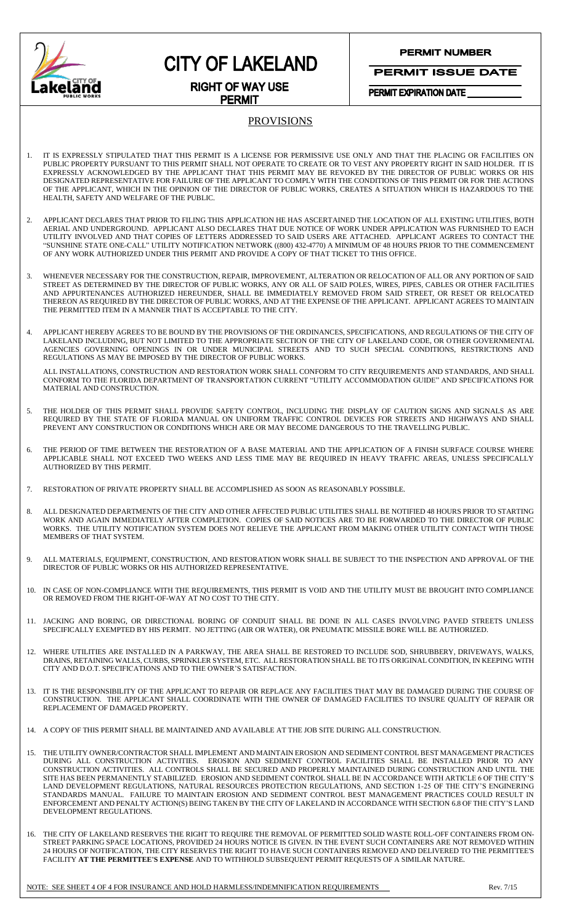

# **CITY OF LAKELAND**

**PERMIT NUMBER** 

**PERMIT ISSUE DATE** 

PERMIT EXPIRATION DATE

#### **RIGHT OF WAY USE PERMIT**

### PROVISIONS

- 1. IT IS EXPRESSLY STIPULATED THAT THIS PERMIT IS A LICENSE FOR PERMISSIVE USE ONLY AND THAT THE PLACING OR FACILITIES ON PUBLIC PROPERTY PURSUANT TO THIS PERMIT SHALL NOT OPERATE TO CREATE OR TO VEST ANY PROPERTY RIGHT IN SAID HOLDER. IT IS EXPRESSLY ACKNOWLEDGED BY THE APPLICANT THAT THIS PERMIT MAY BE REVOKED BY THE DIRECTOR OF PUBLIC WORKS OR HIS DESIGNATED REPRESENTATIVE FOR FAILURE OF THE APPLICANT TO COMPLY WITH THE CONDITIONS OF THIS PERMIT OR FOR THE ACTIONS OF THE APPLICANT, WHICH IN THE OPINION OF THE DIRECTOR OF PUBLIC WORKS, CREATES A SITUATION WHICH IS HAZARDOUS TO THE HEALTH, SAFETY AND WELFARE OF THE PUBLIC.
- 2. APPLICANT DECLARES THAT PRIOR TO FILING THIS APPLICATION HE HAS ASCERTAINED THE LOCATION OF ALL EXISTING UTILITIES, BOTH AERIAL AND UNDERGROUND. APPLICANT ALSO DECLARES THAT DUE NOTICE OF WORK UNDER APPLICATION WAS FURNISHED TO EACH UTILITY INVOLVED AND THAT COPIES OF LETTERS ADDRESSED TO SAID USERS ARE ATTACHED. APPLICANT AGREES TO CONTACT THE "SUNSHINE STATE ONE-CALL" UTILITY NOTIFICATION NETWORK ((800) 432-4770) A MINIMUM OF 48 HOURS PRIOR TO THE COMMENCEMENT OF ANY WORK AUTHORIZED UNDER THIS PERMIT AND PROVIDE A COPY OF THAT TICKET TO THIS OFFICE.
- 3. WHENEVER NECESSARY FOR THE CONSTRUCTION, REPAIR, IMPROVEMENT, ALTERATION OR RELOCATION OF ALL OR ANY PORTION OF SAID STREET AS DETERMINED BY THE DIRECTOR OF PUBLIC WORKS, ANY OR ALL OF SAID POLES, WIRES, PIPES, CABLES OR OTHER FACILITIES AND APPURTENANCES AUTHORIZED HEREUNDER, SHALL BE IMMEDIATELY REMOVED FROM SAID STREET, OR RESET OR RELOCATED THEREON AS REQUIRED BY THE DIRECTOR OF PUBLIC WORKS, AND AT THE EXPENSE OF THE APPLICANT. APPLICANT AGREES TO MAINTAIN THE PERMITTED ITEM IN A MANNER THAT IS ACCEPTABLE TO THE CITY.
- 4. APPLICANT HEREBY AGREES TO BE BOUND BY THE PROVISIONS OF THE ORDINANCES, SPECIFICATIONS, AND REGULATIONS OF THE CITY OF LAKELAND INCLUDING, BUT NOT LIMITED TO THE APPROPRIATE SECTION OF THE CITY OF LAKELAND CODE, OR OTHER GOVERNMENTAL AGENCIES GOVERNING OPENINGS IN OR UNDER MUNICIPAL STREETS AND TO SUCH SPECIAL CONDITIONS, RESTRICTIONS AND REGULATIONS AS MAY BE IMPOSED BY THE DIRECTOR OF PUBLIC WORKS.

ALL INSTALLATIONS, CONSTRUCTION AND RESTORATION WORK SHALL CONFORM TO CITY REQUIREMENTS AND STANDARDS, AND SHALL CONFORM TO THE FLORIDA DEPARTMENT OF TRANSPORTATION CURRENT "UTILITY ACCOMMODATION GUIDE" AND SPECIFICATIONS FOR MATERIAL AND CONSTRUCTION.

- 5. THE HOLDER OF THIS PERMIT SHALL PROVIDE SAFETY CONTROL, INCLUDING THE DISPLAY OF CAUTION SIGNS AND SIGNALS AS ARE REQUIRED BY THE STATE OF FLORIDA MANUAL ON UNIFORM TRAFFIC CONTROL DEVICES FOR STREETS AND HIGHWAYS AND SHALL PREVENT ANY CONSTRUCTION OR CONDITIONS WHICH ARE OR MAY BECOME DANGEROUS TO THE TRAVELLING PUBLIC.
- 6. THE PERIOD OF TIME BETWEEN THE RESTORATION OF A BASE MATERIAL AND THE APPLICATION OF A FINISH SURFACE COURSE WHERE APPLICABLE SHALL NOT EXCEED TWO WEEKS AND LESS TIME MAY BE REQUIRED IN HEAVY TRAFFIC AREAS, UNLESS SPECIFICALLY AUTHORIZED BY THIS PERMIT.
- 7. RESTORATION OF PRIVATE PROPERTY SHALL BE ACCOMPLISHED AS SOON AS REASONABLY POSSIBLE.
- 8. ALL DESIGNATED DEPARTMENTS OF THE CITY AND OTHER AFFECTED PUBLIC UTILITIES SHALL BE NOTIFIED 48 HOURS PRIOR TO STARTING WORK AND AGAIN IMMEDIATELY AFTER COMPLETION. COPIES OF SAID NOTICES ARE TO BE FORWARDED TO THE DIRECTOR OF PUBLIC WORKS. THE UTILITY NOTIFICATION SYSTEM DOES NOT RELIEVE THE APPLICANT FROM MAKING OTHER UTILITY CONTACT WITH THOSE MEMBERS OF THAT SYSTEM.
- 9. ALL MATERIALS, EQUIPMENT, CONSTRUCTION, AND RESTORATION WORK SHALL BE SUBJECT TO THE INSPECTION AND APPROVAL OF THE DIRECTOR OF PUBLIC WORKS OR HIS AUTHORIZED REPRESENTATIVE.
- 10. IN CASE OF NON-COMPLIANCE WITH THE REQUIREMENTS, THIS PERMIT IS VOID AND THE UTILITY MUST BE BROUGHT INTO COMPLIANCE OR REMOVED FROM THE RIGHT-OF-WAY AT NO COST TO THE CITY.
- 11. JACKING AND BORING, OR DIRECTIONAL BORING OF CONDUIT SHALL BE DONE IN ALL CASES INVOLVING PAVED STREETS UNLESS SPECIFICALLY EXEMPTED BY HIS PERMIT. NO JETTING (AIR OR WATER), OR PNEUMATIC MISSILE BORE WILL BE AUTHORIZED.
- 12. WHERE UTILITIES ARE INSTALLED IN A PARKWAY, THE AREA SHALL BE RESTORED TO INCLUDE SOD, SHRUBBERY, DRIVEWAYS, WALKS, DRAINS, RETAINING WALLS, CURBS, SPRINKLER SYSTEM, ETC. ALL RESTORATION SHALL BE TO ITS ORIGINAL CONDITION, IN KEEPING WITH CITY AND D.O.T. SPECIFICATIONS AND TO THE OWNER'S SATISFACTION.
- 13. IT IS THE RESPONSIBILITY OF THE APPLICANT TO REPAIR OR REPLACE ANY FACILITIES THAT MAY BE DAMAGED DURING THE COURSE OF CONSTRUCTION. THE APPLICANT SHALL COORDINATE WITH THE OWNER OF DAMAGED FACILITIES TO INSURE QUALITY OF REPAIR OR REPLACEMENT OF DAMAGED PROPERTY.
- 14. A COPY OF THIS PERMIT SHALL BE MAINTAINED AND AVAILABLE AT THE JOB SITE DURING ALL CONSTRUCTION.
- 15. THE UTILITY OWNER/CONTRACTOR SHALL IMPLEMENT AND MAINTAIN EROSION AND SEDIMENT CONTROL BEST MANAGEMENT PRACTICES DURING ALL CONSTRUCTION ACTIVITIES. EROSION AND SEDIMENT CONTROL FACILITIES SHALL BE INSTALLED PRIOR TO ANY CONSTRUCTION ACTIVITIES. ALL CONTROLS SHALL BE SECURED AND PROPERLY MAINTAINED DURING CONSTRUCTION AND UNTIL THE SITE HAS BEEN PERMANENTLY STABILIZED. EROSION AND SEDIMENT CONTROL SHALL BE IN ACCORDANCE WITH ARTICLE 6 OF THE CITY'S LAND DEVELOPMENT REGULATIONS, NATURAL RESOURCES PROTECTION REGULATIONS, AND SECTION 1-25 OF THE CITY'S ENGINERING STANDARDS MANUAL. FAILURE TO MAINTAIN EROSION AND SEDIMENT CONTROL BEST MANAGEMENT PRACTICES COULD RESULT IN ENFORCEMENT AND PENALTY ACTION(S) BEING TAKEN BY THE CITY OF LAKELAND IN ACCORDANCE WITH SECTION 6.8 OF THE CITY'S LAND DEVELOPMENT REGULATIONS.
- 16. THE CITY OF LAKELAND RESERVES THE RIGHT TO REQUIRE THE REMOVAL OF PERMITTED SOLID WASTE ROLL-OFF CONTAINERS FROM ON-STREET PARKING SPACE LOCATIONS, PROVIDED 24 HOURS NOTICE IS GIVEN. IN THE EVENT SUCH CONTAINERS ARE NOT REMOVED WITHIN 24 HOURS OF NOTIFICATION, THE CITY RESERVES THE RIGHT TO HAVE SUCH CONTAINERS REMOVED AND DELIVERED TO THE PERMITTEE'S FACILITY **AT THE PERMITTEE'S EXPENSE** AND TO WITHHOLD SUBSEQUENT PERMIT REQUESTS OF A SIMILAR NATURE.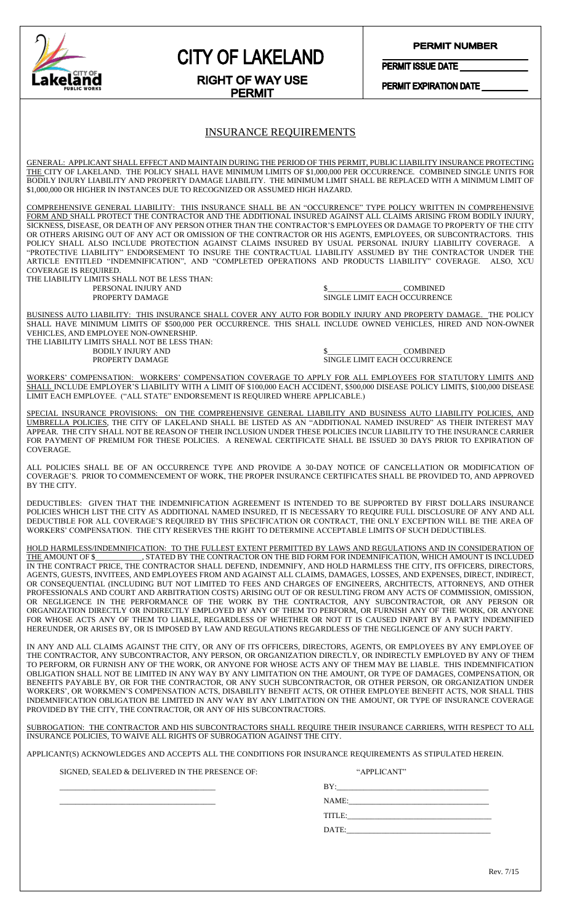

## **CITY OF LAKELAND**

#### **PERMIT NUMBER**

PERMIT ISSUE DATE

PERMIT EXPIRATION DATE

#### **RIGHT OF WAY USE PERMIT**

#### INSURANCE REQUIREMENTS

GENERAL: APPLICANT SHALL EFFECT AND MAINTAIN DURING THE PERIOD OF THIS PERMIT, PUBLIC LIABILITY INSURANCE PROTECTING THE CITY OF LAKELAND. THE POLICY SHALL HAVE MINIMUM LIMITS OF \$1,000,000 PER OCCURRENCE. COMBINED SINGLE UNITS FOR BODILY INJURY LIABILITY AND PROPERTY DAMAGE LIABILITY. THE MINIMUM LIMIT SHALL BE REPLACED WITH A MINIMUM LIMIT OF \$1,000,000 OR HIGHER IN INSTANCES DUE TO RECOGNIZED OR ASSUMED HIGH HAZARD.

COMPREHENSIVE GENERAL LIABILITY: THIS INSURANCE SHALL BE AN "OCCURRENCE" TYPE POLICY WRITTEN IN COMPREHENSIVE FORM AND SHALL PROTECT THE CONTRACTOR AND THE ADDITIONAL INSURED AGAINST ALL CLAIMS ARISING FROM BODILY INJURY, SICKNESS, DISEASE, OR DEATH OF ANY PERSON OTHER THAN THE CONTRACTOR'S EMPLOYEES OR DAMAGE TO PROPERTY OF THE CITY OR OTHERS ARISING OUT OF ANY ACT OR OMISSION OF THE CONTRACTOR OR HIS AGENTS, EMPLOYEES, OR SUBCONTRACTORS. THIS POLICY SHALL ALSO INCLUDE PROTECTION AGAINST CLAIMS INSURED BY USUAL PERSONAL INJURY LIABILITY COVERAGE. A "PROTECTIVE LIABILITY" ENDORSEMENT TO INSURE THE CONTRACTUAL LIABILITY ASSUMED BY THE CONTRACTOR UNDER THE ARTICLE ENTITLED "INDEMNIFICATION", AND "COMPLETED OPERATIONS AND PRODUCTS LIABILITY" COVERAGE. ALSO, XCU COVERAGE IS REQUIRED.

THE LIABILITY LIMITS SHALL NOT BE LESS THAN: PERSONAL INJURY AND  $$\underbrace{\$}$  COMBINED<br>PROPERTY DAMAGE SINGLE LIMIT EACH OCCURRENC

**SINGLE LIMIT EACH OCCURRENCE** 

BUSINESS AUTO LIABILITY: THIS INSURANCE SHALL COVER ANY AUTO FOR BODILY INJURY AND PROPERTY DAMAGE. THE POLICY SHALL HAVE MINIMUM LIMITS OF \$500,000 PER OCCURRENCE. THIS SHALL INCLUDE OWNED VEHICLES, HIRED AND NON-OWNER VEHICLES, AND EMPLOYEE NON-OWNERSHIP.

THE LIABILITY LIMITS SHALL NOT BE LESS THAN: BODILY INJURY AND \$\_\_\_\_\_\_\_\_\_\_\_\_\_\_\_\_\_\_\_ COMBINED

SINGLE LIMIT EACH OCCURRENCE

WORKERS' COMPENSATION: WORKERS' COMPENSATION COVERAGE TO APPLY FOR ALL EMPLOYEES FOR STATUTORY LIMITS AND SHALL INCLUDE EMPLOYER'S LIABILITY WITH A LIMIT OF \$100,000 EACH ACCIDENT, \$500,000 DISEASE POLICY LIMITS, \$100,000 DISEASE LIMIT EACH EMPLOYEE. ("ALL STATE" ENDORSEMENT IS REQUIRED WHERE APPLICABLE.)

SPECIAL INSURANCE PROVISIONS: ON THE COMPREHENSIVE GENERAL LIABILITY AND BUSINESS AUTO LIABILITY POLICIES, AND UMBRELLA POLICIES, THE CITY OF LAKELAND SHALL BE LISTED AS AN "ADDITIONAL NAMED INSURED" AS THEIR INTEREST MAY APPEAR. THE CITY SHALL NOT BE REASON OF THEIR INCLUSION UNDER THESE POLICIES INCUR LIABILITY TO THE INSURANCE CARRIER FOR PAYMENT OF PREMIUM FOR THESE POLICIES. A RENEWAL CERTIFICATE SHALL BE ISSUED 30 DAYS PRIOR TO EXPIRATION OF COVERAGE.

ALL POLICIES SHALL BE OF AN OCCURRENCE TYPE AND PROVIDE A 30-DAY NOTICE OF CANCELLATION OR MODIFICATION OF COVERAGE'S. PRIOR TO COMMENCEMENT OF WORK, THE PROPER INSURANCE CERTIFICATES SHALL BE PROVIDED TO, AND APPROVED BY THE CITY.

DEDUCTIBLES: GIVEN THAT THE INDEMNIFICATION AGREEMENT IS INTENDED TO BE SUPPORTED BY FIRST DOLLARS INSURANCE POLICIES WHICH LIST THE CITY AS ADDITIONAL NAMED INSURED, IT IS NECESSARY TO REQUIRE FULL DISCLOSURE OF ANY AND ALL DEDUCTIBLE FOR ALL COVERAGE'S REQUIRED BY THIS SPECIFICATION OR CONTRACT, THE ONLY EXCEPTION WILL BE THE AREA OF WORKERS' COMPENSATION. THE CITY RESERVES THE RIGHT TO DETERMINE ACCEPTABLE LIMITS OF SUCH DEDUCTIBLES.

HOLD HARMLESS/INDEMNIFICATION: TO THE FULLEST EXTENT PERMITTED BY LAWS AND REGULATIONS AND IN CONSIDERATION OF THE AMOUNT OF \$\_\_\_\_\_\_\_\_\_\_\_\_, STATED BY THE CONTRACTOR ON THE BID FORM FOR INDEMNIFICATION, WHICH AMOUNT IS INCLUDED IN THE CONTRACT PRICE, THE CONTRACTOR SHALL DEFEND, INDEMNIFY, AND HOLD HARMLESS THE CITY, ITS OFFICERS, DIRECTORS, AGENTS, GUESTS, INVITEES, AND EMPLOYEES FROM AND AGAINST ALL CLAIMS, DAMAGES, LOSSES, AND EXPENSES, DIRECT, INDIRECT, OR CONSEQUENTIAL (INCLUDING BUT NOT LIMITED TO FEES AND CHARGES OF ENGINEERS, ARCHITECTS, ATTORNEYS, AND OTHER PROFESSIONALS AND COURT AND ARBITRATION COSTS) ARISING OUT OF OR RESULTING FROM ANY ACTS OF COMMISSION, OMISSION, OR NEGLIGENCE IN THE PERFORMANCE OF THE WORK BY THE CONTRACTOR, ANY SUBCONTRACTOR, OR ANY PERSON OR ORGANIZATION DIRECTLY OR INDIRECTLY EMPLOYED BY ANY OF THEM TO PERFORM, OR FURNISH ANY OF THE WORK, OR ANYONE FOR WHOSE ACTS ANY OF THEM TO LIABLE, REGARDLESS OF WHETHER OR NOT IT IS CAUSED INPART BY A PARTY INDEMNIFIED HEREUNDER, OR ARISES BY, OR IS IMPOSED BY LAW AND REGULATIONS REGARDLESS OF THE NEGLIGENCE OF ANY SUCH PARTY.

IN ANY AND ALL CLAIMS AGAINST THE CITY, OR ANY OF ITS OFFICERS, DIRECTORS, AGENTS, OR EMPLOYEES BY ANY EMPLOYEE OF THE CONTRACTOR, ANY SUBCONTRACTOR, ANY PERSON, OR ORGANIZATION DIRECTLY, OR INDIRECTLY EMPLOYED BY ANY OF THEM TO PERFORM, OR FURNISH ANY OF THE WORK, OR ANYONE FOR WHOSE ACTS ANY OF THEM MAY BE LIABLE. THIS INDEMNIFICATION OBLIGATION SHALL NOT BE LIMITED IN ANY WAY BY ANY LIMITATION ON THE AMOUNT, OR TYPE OF DAMAGES, COMPENSATION, OR BENEFITS PAYABLE BY, OR FOR THE CONTRACTOR, OR ANY SUCH SUBCONTRACTOR, OR OTHER PERSON, OR ORGANIZATION UNDER WORKERS', OR WORKMEN'S COMPENSATION ACTS, DISABILITY BENEFIT ACTS, OR OTHER EMPLOYEE BENEFIT ACTS, NOR SHALL THIS INDEMNIFICATION OBLIGATION BE LIMITED IN ANY WAY BY ANY LIMITATION ON THE AMOUNT, OR TYPE OF INSURANCE COVERAGE PROVIDED BY THE CITY, THE CONTRACTOR, OR ANY OF HIS SUBCONTRACTORS.

SUBROGATION: THE CONTRACTOR AND HIS SUBCONTRACTORS SHALL REQUIRE THEIR INSURANCE CARRIERS, WITH RESPECT TO ALL INSURANCE POLICIES, TO WAIVE ALL RIGHTS OF SUBROGATION AGAINST THE CITY.

APPLICANT(S) ACKNOWLEDGES AND ACCEPTS ALL THE CONDITIONS FOR INSURANCE REQUIREMENTS AS STIPULATED HEREIN.

SIGNED, SEALED & DELIVERED IN THE PRESENCE OF: "APPLICANT"

| <b>RV</b><br>- |
|----------------|
| <b>NAME</b>    |
|                |

 $\text{DATE:}$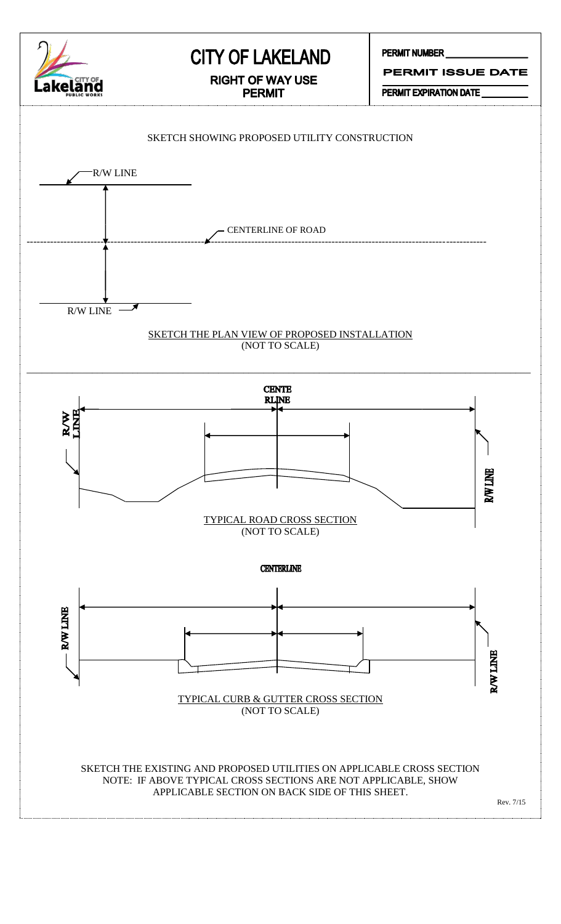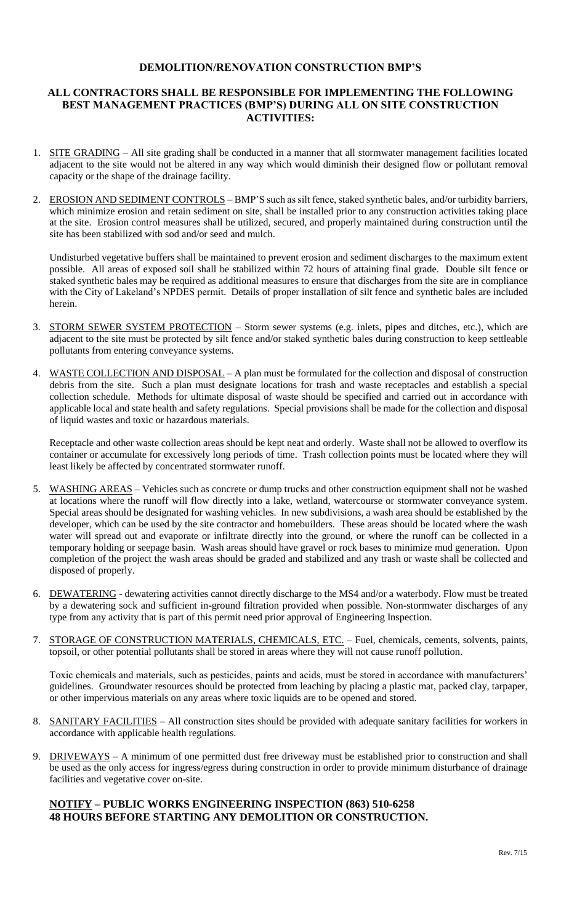#### **DEMOLITION/RENOVATION CONSTRUCTION BMP'S**

#### **ALL CONTRACTORS SHALL BE RESPONSIBLE FOR IMPLEMENTING THE FOLLOWING BEST MANAGEMENT PRACTICES (BMP'S) DURING ALL ON SITE CONSTRUCTION ACTIVITIES:**

- 1. SITE GRADING All site grading shall be conducted in a manner that all stormwater management facilities located adjacent to the site would not be altered in any way which would diminish their designed flow or pollutant removal capacity or the shape of the drainage facility.
- 2. EROSION AND SEDIMENT CONTROLS BMP'S such as silt fence, staked synthetic bales, and/or turbidity barriers, which minimize erosion and retain sediment on site, shall be installed prior to any construction activities taking place at the site. Erosion control measures shall be utilized, secured, and properly maintained during construction until the site has been stabilized with sod and/or seed and mulch.

Undisturbed vegetative buffers shall be maintained to prevent erosion and sediment discharges to the maximum extent possible. All areas of exposed soil shall be stabilized within 72 hours of attaining final grade. Double silt fence or staked synthetic bales may be required as additional measures to ensure that discharges from the site are in compliance with the City of Lakeland's NPDES permit. Details of proper installation of silt fence and synthetic bales are included herein.

- 3. STORM SEWER SYSTEM PROTECTION Storm sewer systems (e.g. inlets, pipes and ditches, etc.), which are adjacent to the site must be protected by silt fence and/or staked synthetic bales during construction to keep settleable pollutants from entering conveyance systems.
- 4. WASTE COLLECTION AND DISPOSAL A plan must be formulated for the collection and disposal of construction debris from the site. Such a plan must designate locations for trash and waste receptacles and establish a special collection schedule. Methods for ultimate disposal of waste should be specified and carried out in accordance with applicable local and state health and safety regulations. Special provisions shall be made for the collection and disposal of liquid wastes and toxic or hazardous materials.

Receptacle and other waste collection areas should be kept neat and orderly. Waste shall not be allowed to overflow its container or accumulate for excessively long periods of time. Trash collection points must be located where they will least likely be affected by concentrated stormwater runoff.

- 5. WASHING AREAS Vehicles such as concrete or dump trucks and other construction equipment shall not be washed at locations where the runoff will flow directly into a lake, wetland, watercourse or stormwater conveyance system. Special areas should be designated for washing vehicles. In new subdivisions, a wash area should be established by the developer, which can be used by the site contractor and homebuilders. These areas should be located where the wash water will spread out and evaporate or infiltrate directly into the ground, or where the runoff can be collected in a temporary holding or seepage basin. Wash areas should have gravel or rock bases to minimize mud generation. Upon completion of the project the wash areas should be graded and stabilized and any trash or waste shall be collected and disposed of properly.
- 6. DEWATERING dewatering activities cannot directly discharge to the MS4 and/or a waterbody. Flow must be treated by a dewatering sock and sufficient in-ground filtration provided when possible. Non-stormwater discharges of any type from any activity that is part of this permit need prior approval of Engineering Inspection.
- 7. STORAGE OF CONSTRUCTION MATERIALS, CHEMICALS, ETC. Fuel, chemicals, cements, solvents, paints, topsoil, or other potential pollutants shall be stored in areas where they will not cause runoff pollution.

Toxic chemicals and materials, such as pesticides, paints and acids, must be stored in accordance with manufacturers' guidelines. Groundwater resources should be protected from leaching by placing a plastic mat, packed clay, tarpaper, or other impervious materials on any areas where toxic liquids are to be opened and stored.

- 8. SANITARY FACILITIES All construction sites should be provided with adequate sanitary facilities for workers in accordance with applicable health regulations.
- 9. DRIVEWAYS A minimum of one permitted dust free driveway must be established prior to construction and shall be used as the only access for ingress/egress during construction in order to provide minimum disturbance of drainage facilities and vegetative cover on-site.

#### **NOTIFY – PUBLIC WORKS ENGINEERING INSPECTION (863) 510-6258 48 HOURS BEFORE STARTING ANY DEMOLITION OR CONSTRUCTION.**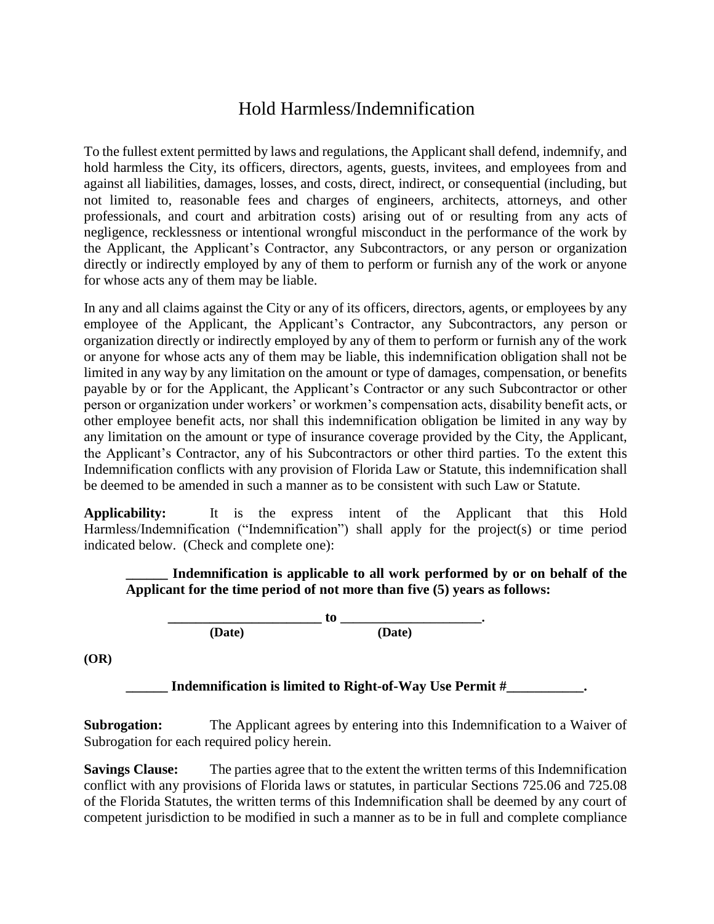## Hold Harmless/Indemnification

To the fullest extent permitted by laws and regulations, the Applicant shall defend, indemnify, and hold harmless the City, its officers, directors, agents, guests, invitees, and employees from and against all liabilities, damages, losses, and costs, direct, indirect, or consequential (including, but not limited to, reasonable fees and charges of engineers, architects, attorneys, and other professionals, and court and arbitration costs) arising out of or resulting from any acts of negligence, recklessness or intentional wrongful misconduct in the performance of the work by the Applicant, the Applicant's Contractor, any Subcontractors, or any person or organization directly or indirectly employed by any of them to perform or furnish any of the work or anyone for whose acts any of them may be liable.

In any and all claims against the City or any of its officers, directors, agents, or employees by any employee of the Applicant, the Applicant's Contractor, any Subcontractors, any person or organization directly or indirectly employed by any of them to perform or furnish any of the work or anyone for whose acts any of them may be liable, this indemnification obligation shall not be limited in any way by any limitation on the amount or type of damages, compensation, or benefits payable by or for the Applicant, the Applicant's Contractor or any such Subcontractor or other person or organization under workers' or workmen's compensation acts, disability benefit acts, or other employee benefit acts, nor shall this indemnification obligation be limited in any way by any limitation on the amount or type of insurance coverage provided by the City, the Applicant, the Applicant's Contractor, any of his Subcontractors or other third parties. To the extent this Indemnification conflicts with any provision of Florida Law or Statute, this indemnification shall be deemed to be amended in such a manner as to be consistent with such Law or Statute.

**Applicability:** It is the express intent of the Applicant that this Hold Harmless/Indemnification ("Indemnification") shall apply for the project(s) or time period indicated below. (Check and complete one):

#### **\_\_\_\_\_\_ Indemnification is applicable to all work performed by or on behalf of the Applicant for the time period of not more than five (5) years as follows:**

**\_\_\_\_\_\_\_\_\_\_\_\_\_\_\_\_\_\_\_\_\_\_ to \_\_\_\_\_\_\_\_\_\_\_\_\_\_\_\_\_\_\_\_\_\_. (Date) (Date)**

**(OR)**

**\_\_\_\_\_\_ Indemnification is limited to Right-of-Way Use Permit #\_\_\_\_\_\_\_\_\_\_\_.**

**Subrogation:** The Applicant agrees by entering into this Indemnification to a Waiver of Subrogation for each required policy herein.

**Savings Clause:** The parties agree that to the extent the written terms of this Indemnification conflict with any provisions of Florida laws or statutes, in particular Sections 725.06 and 725.08 of the Florida Statutes, the written terms of this Indemnification shall be deemed by any court of competent jurisdiction to be modified in such a manner as to be in full and complete compliance